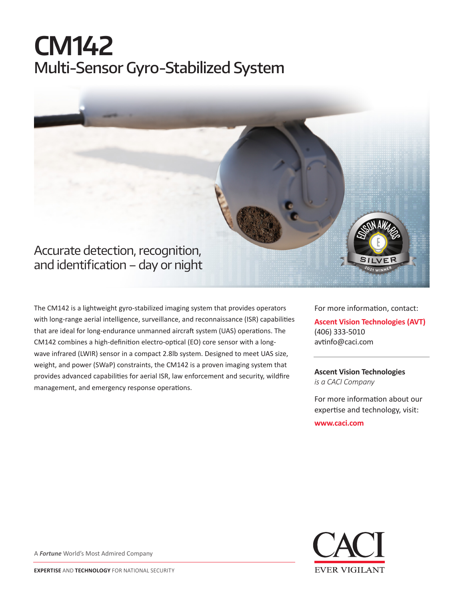## **CM142** Multi-Sensor Gyro-Stabilized System



The CM142 is a lightweight gyro-stabilized imaging system that provides operators with long-range aerial intelligence, surveillance, and reconnaissance (ISR) capabilities that are ideal for long-endurance unmanned aircraft system (UAS) operations. The CM142 combines a high-definition electro-optical (EO) core sensor with a longwave infrared (LWIR) sensor in a compact 2.8lb system. Designed to meet UAS size, weight, and power (SWaP) constraints, the CM142 is a proven imaging system that provides advanced capabilities for aerial ISR, law enforcement and security, wildfire management, and emergency response operations.

For more information, contact: **Ascent Vision Technologies (AVT)**

(406) 333-5010 avtinfo@caci.com

**Ascent Vision Technologies** *is a CACI Company* 

For more information about our expertise and technology, visit:

**www.caci.com**



A *Fortune* World's Most Admired Company